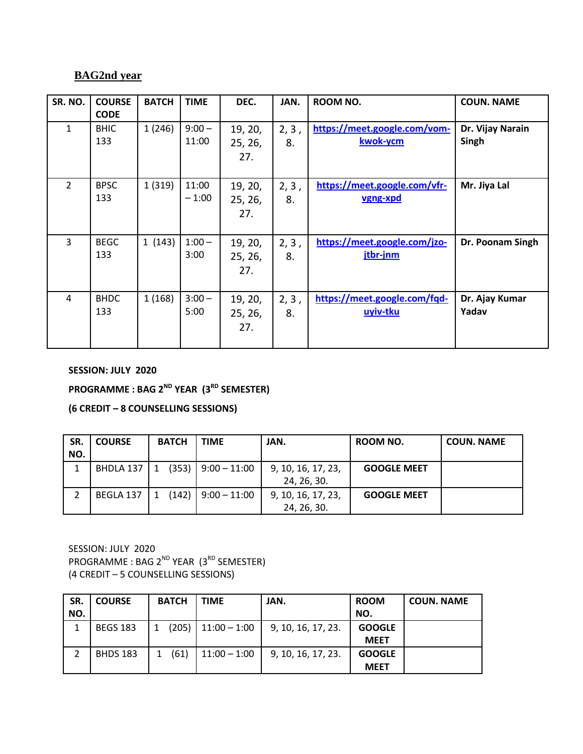## **BAG2nd year**

| SR. NO.        | <b>COURSE</b><br><b>CODE</b> | <b>BATCH</b> | <b>TIME</b>       | DEC.                      | JAN.        | <b>ROOM NO.</b>                          | <b>COUN. NAME</b>         |
|----------------|------------------------------|--------------|-------------------|---------------------------|-------------|------------------------------------------|---------------------------|
| $\mathbf{1}$   | <b>BHIC</b><br>133           | 1(246)       | $9:00 -$<br>11:00 | 19, 20,<br>25, 26,<br>27. | 2, 3,<br>8. | https://meet.google.com/vom-<br>kwok-ycm | Dr. Vijay Narain<br>Singh |
| $\overline{2}$ | <b>BPSC</b><br>133           | 1(319)       | 11:00<br>$-1:00$  | 19, 20,<br>25, 26,<br>27. | 2, 3,<br>8. | https://meet.google.com/vfr-<br>vgng-xpd | Mr. Jiya Lal              |
| 3              | <b>BEGC</b><br>133           | 1(143)       | $1:00 -$<br>3:00  | 19, 20,<br>25, 26,<br>27. | 2, 3,<br>8. | https://meet.google.com/jzo-<br>jtbr-jnm | Dr. Poonam Singh          |
| $\overline{4}$ | <b>BHDC</b><br>133           | 1(168)       | $3:00 -$<br>5:00  | 19, 20,<br>25, 26,<br>27. | 2, 3,<br>8. | https://meet.google.com/fqd-<br>uyiv-tku | Dr. Ajay Kumar<br>Yadav   |

**SESSION: JULY 2020**

**PROGRAMME : BAG 2ND YEAR (3RD SEMESTER)**

**(6 CREDIT – 8 COUNSELLING SESSIONS)**

| SR.<br>NO. | <b>COURSE</b> | <b>BATCH</b> | <b>TIME</b>    | JAN.               | ROOM NO.           | <b>COUN. NAME</b> |
|------------|---------------|--------------|----------------|--------------------|--------------------|-------------------|
|            | BHDLA 137     | (353)<br>1   | $9:00 - 11:00$ | 9, 10, 16, 17, 23, | <b>GOOGLE MEET</b> |                   |
|            |               |              |                | 24, 26, 30.        |                    |                   |
|            | BEGLA 137     | (142)        | $9:00 - 11:00$ | 9, 10, 16, 17, 23, | <b>GOOGLE MEET</b> |                   |
|            |               |              |                | 24, 26, 30.        |                    |                   |

SESSION: JULY 2020 PROGRAMME : BAG 2<sup>ND</sup> YEAR (3<sup>RD</sup> SEMESTER) (4 CREDIT – 5 COUNSELLING SESSIONS)

| SR. | <b>COURSE</b>   | <b>BATCH</b> | <b>TIME</b>    | JAN.               | <b>ROOM</b>   | <b>COUN. NAME</b> |
|-----|-----------------|--------------|----------------|--------------------|---------------|-------------------|
| NO. |                 |              |                |                    | NO.           |                   |
|     | <b>BEGS 183</b> | (205)        | $11:00 - 1:00$ | 9, 10, 16, 17, 23. | <b>GOOGLE</b> |                   |
|     |                 |              |                |                    | <b>MEET</b>   |                   |
|     | <b>BHDS 183</b> | (61)         | $11:00 - 1:00$ | 9, 10, 16, 17, 23. | <b>GOOGLE</b> |                   |
|     |                 |              |                |                    | <b>MEET</b>   |                   |